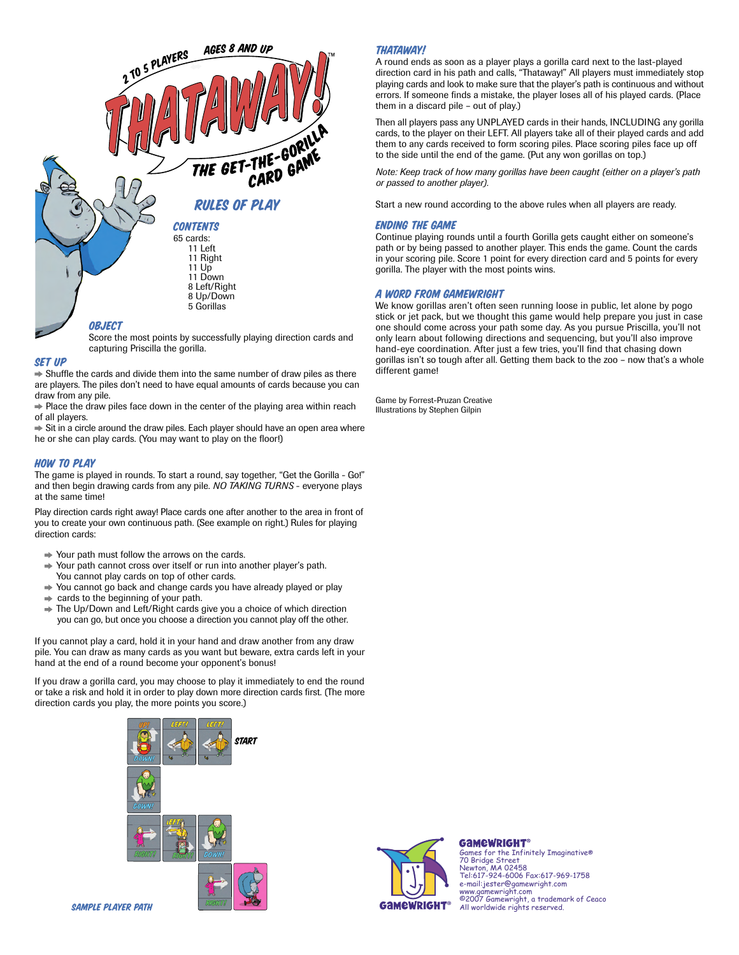

### Set Up

 $\Rightarrow$  Shuffle the cards and divide them into the same number of draw piles as there are players. The piles don't need to have equal amounts of cards because you can draw from any pile.

 $\Rightarrow$  Place the draw piles face down in the center of the playing area within reach of all players.

 $\Rightarrow$  Sit in a circle around the draw piles. Each player should have an open area where he or she can play cards. (You may want to play on the floor!)

## How to Play

The game is played in rounds. To start a round, say together, "Get the Gorilla - Go!" and then begin drawing cards from any pile. *NO TAKING TURNS* - everyone plays at the same time!

Play direction cards right away! Place cards one after another to the area in front of you to create your own continuous path. (See example on right.) Rules for playing direction cards:

- $\rightarrow$  Your path must follow the arrows on the cards.
- **→ Your path cannot cross over itself or run into another player's path.**
- You cannot play cards on top of other cards.
- → You cannot go back and change cards you have already played or play
- $\Rightarrow$  cards to the beginning of your path.
- $\rightarrow$  The Up/Down and Left/Right cards give you a choice of which direction you can go, but once you choose a direction you cannot play off the other.

If you cannot play a card, hold it in your hand and draw another from any draw pile. You can draw as many cards as you want but beware, extra cards left in your hand at the end of a round become your opponent's bonus!

If you draw a gorilla card, you may choose to play it immediately to end the round or take a risk and hold it in order to play down more direction cards first. (The more direction cards you play, the more points you score.)



## thataway!

A round ends as soon as a player plays a gorilla card next to the last-played direction card in his path and calls, "Thataway!" All players must immediately stop playing cards and look to make sure that the player's path is continuous and without errors. If someone finds a mistake, the player loses all of his played cards. (Place them in a discard pile – out of play.)

Then all players pass any UNPLAYED cards in their hands, INCLUDING any gorilla cards, to the player on their LEFT. All players take all of their played cards and add them to any cards received to form scoring piles. Place scoring piles face up off to the side until the end of the game. (Put any won gorillas on top.)

*Note: Keep track of how many gorillas have been caught (either on a player's path or passed to another player).*

Start a new round according to the above rules when all players are ready.

## Ending the game

Continue playing rounds until a fourth Gorilla gets caught either on someone's path or by being passed to another player. This ends the game. Count the cards in your scoring pile. Score 1 point for every direction card and 5 points for every gorilla. The player with the most points wins.

### A Word from Gamewright

We know gorillas aren't often seen running loose in public, let alone by pogo stick or jet pack, but we thought this game would help prepare you just in case one should come across your path some day. As you pursue Priscilla, you'll not only learn about following directions and sequencing, but you'll also improve hand-eye coordination. After just a few tries, you'll find that chasing down gorillas isn't so tough after all. Getting them back to the zoo – now that's a whole different game!

Game by Forrest-Pruzan Creative Illustrations by Stephen Gilpin



# GAMEWRIGHT®

Games for the Infinitely Imaginative® 70 Bridge Street Newton, MA 02458 Tel:617-924-6006 Fax:617-969-1758 e-mail:jester@gamewright.com www.gamewright.com ©2007 Gamewright, a trademark of Ceaco All worldwide rights reserved.